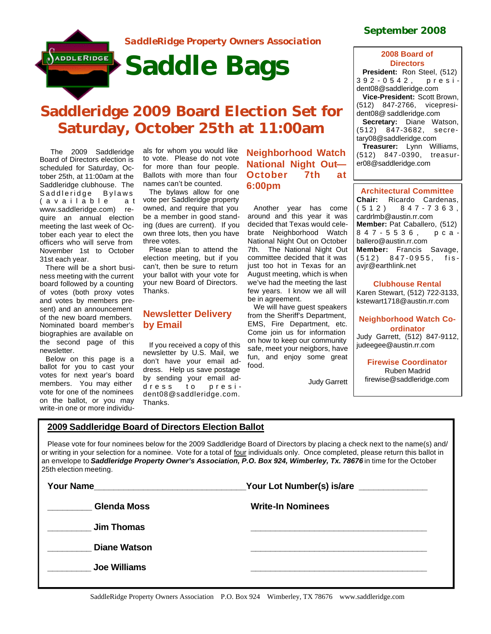

# **Saddleridge 2009 Board Election Set for Saturday, October 25th at 11:00am**

 The 2009 Saddleridge Board of Directors election is scheduled for Saturday, October 25th, at 11:00am at the Saddleridge clubhouse. The Saddleridge Bylaws (available a t www.saddleridge.com) require an annual election meeting the last week of October each year to elect the officers who will serve from November 1st to October 31st each year.

There will be a short business meeting with the current board followed by a counting of votes (both proxy votes and votes by members present) and an announcement of the new board members. Nominated board member's biographies are available on the second page of this newsletter.

Below on this page is a ballot for you to cast your votes for next year's board members. You may either vote for one of the nominees on the ballot, or you may write-in one or more individuals for whom you would like to vote. Please do not vote for more than four people. Ballots with more than four names can't be counted.

The bylaws allow for one vote per Saddleridge property owned, and require that you be a member in good standing (dues are current). If you own three lots, then you have three votes.

Please plan to attend the election meeting, but if you can't, then be sure to return your ballot with your vote for your new Board of Directors. Thanks.

## **Newsletter Delivery by Email**

If you received a copy of this newsletter by U.S. Mail, we don't have your email address. Help us save postage by sending your email address to president08@saddleridge.com. Thanks.

**Neighborhood Watch National Night Out— October 7th at 6:00pm**

Another year has come around and this year it was decided that Texas would celebrate Neighborhood Watch National Night Out on October 7th. The National Night Out committee decided that it was just too hot in Texas for an August meeting, which is when we've had the meeting the last few years. I know we all will be in agreement.

We will have guest speakers from the Sheriff's Department, EMS, Fire Department, etc. Come join us for information on how to keep our community safe, meet your neigbors, have fun, and enjoy some great food.

Judy Garrett

## **September 2008**

#### **2008 Board of Directors**

**President:** Ron Steel, (512) 392 - 0542, president08@saddleridge.com **Vice-President:** Scott Brown, (512) 847-2766, vicepresident08@ saddleridge.com **Secretary:** Diane Watson, (512) 847-3682, secretary08@saddleridge.com **Treasurer:** Lynn Williams, (512) 847 -0390, treasurer08@saddleridge.com

| <b>Architectural Committee</b> |  |                                |  |
|--------------------------------|--|--------------------------------|--|
|                                |  | Chair: Ricardo Cardenas,       |  |
|                                |  | $(512) 847 - 7363,$            |  |
| cardrlmb@austin.rr.com         |  |                                |  |
|                                |  | Member: Pat Caballero, (512)   |  |
|                                |  | 847-5536, рса-                 |  |
| ballero@austin.rr.com          |  |                                |  |
|                                |  | <b>Member:</b> Francis Savage, |  |
|                                |  | $(512)$ 847-0955, fis-         |  |
| avjr@earthlink.net             |  |                                |  |

**Clubhouse Rental** Karen Stewart, (512) 722-3133, kstewart1718@austin.rr.com

## **Neighborhood Watch Coordinator**

Judy Garrett, (512) 847-9112, judeegee@austin.rr.com

**Firewise Coordinator** Ruben Madrid firewise@saddleridge.com

## **2009 Saddleridge Board of Directors Election Ballot**

Please vote for four nominees below for the 2009 Saddleridge Board of Directors by placing a check next to the name(s) and/ or writing in your selection for a nominee. Vote for a total of four individuals only. Once completed, please return this ballot in an envelope to Saddleridge Property Owner's Association, P.O. Box 924, Wimberley, Tx. 78676 in time for the October 25th election meeting.

| <b>Your Name</b>    | Your Lot Number(s) is/are ______________ |
|---------------------|------------------------------------------|
| <b>Glenda Moss</b>  | <b>Write-In Nominees</b>                 |
| <b>Jim Thomas</b>   |                                          |
| <b>Diane Watson</b> |                                          |
| <b>Joe Williams</b> |                                          |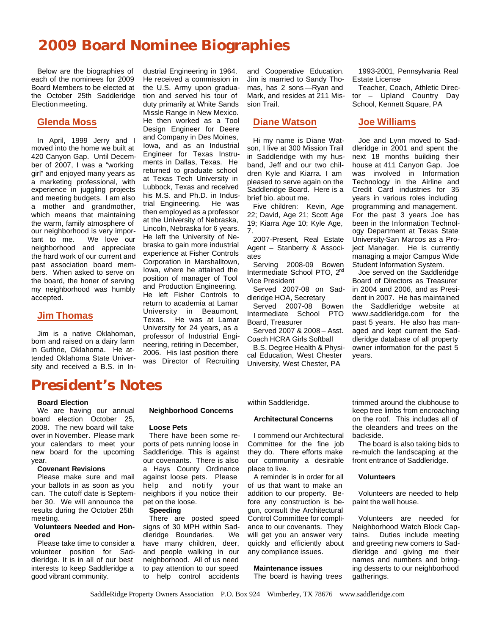## **2009 Board Nominee Biographies**

Below are the biographies of each of the nominees for 2009 Board Members to be elected at the October 25th Saddleridge Election meeting.

### **Glenda Moss**

In April, 1999 Jerry and I moved into the home we built at 420 Canyon Gap. Until December of 2007, I was a "working girl" and enjoyed many years as a marketing professional, with experience in juggling projects and meeting budgets. I am also a mother and grandmother, which means that maintaining the warm, family atmosphere of our neighborhood is very important to me. We love our neighborhood and appreciate the hard work of our current and past association board members. When asked to serve on the board, the honer of serving my neighborhood was humbly accepted.

### **Jim Thomas**

Jim is a native Oklahoman, born and raised on a dairy farm in Guthrie, Oklahoma. He attended Oklahoma State University and received a B.S. in Industrial Engineering in 1964. He received a commission in the U.S. Army upon graduation and served his tour of duty primarily at White Sands Missle Range in New Mexico. He then worked as a Tool Design Engineer for Deere and Company in Des Moines, Iowa, and as an Industrial Engineer for Texas Instruments in Dallas, Texas. He returned to graduate school at Texas Tech University in Lubbock, Texas and received his M.S. and Ph.D. in Indus-<br>trial Engineering. He was trial Engineering. then employed as a professor at the University of Nebraska, Lincoln, Nebraska for 6 years. He left the University of Nebraska to gain more industrial experience at Fisher Controls Corporation in Marshalltown, Iowa, where he attained the position of manager of Tool and Production Engineering. He left Fisher Controls to return to academia at Lamar University in Beaumont, Texas. He was at Lamar University for 24 years, as a professor of Industrial Engineering, retiring in December, 2006. His last position there was Director of Recruiting

and Cooperative Education. Jim is married to Sandy Thomas, has 2 sons—Ryan and Mark, and resides at 211 Mission Trail.

### **Diane Watson**

Hi my name is Diane Watson, I live at 300 Mission Trail in Saddleridge with my husband, Jeff and our two children Kyle and Kiarra. I am pleased to serve again on the Saddleridge Board. Here is a brief bio. about me.

Five children: Kevin, Age 22; David, Age 21; Scott Age 19; Kiarra Age 10; Kyle Age, 7.

2007-Present, Real Estate Agent – Stanberry & Associates

Serving 2008-09 Bowen Intermediate School PTO, 2nd Vice President

Served 2007-08 on Saddleridge HOA, Secretary

Served 2007-08 Bowen Intermediate School PTO Board, Treasurer

Served 2007 & 2008 – Asst. Coach HCRA Girls Softball

B.S. Degree Health & Physical Education, West Chester University, West Chester, PA

1993-2001, Pennsylvania Real Estate License

Teacher, Coach, Athletic Director – Upland Country Day School, Kennett Square, PA

### **Joe Williams**

Joe and Lynn moved to Saddleridge in 2001 and spent the next 18 months building their house at 411 Canyon Gap. Joe was involved in Information Technology in the Airline and Credit Card industries for 35 years in various roles including programming and management. For the past 3 years Joe has been in the Information Technology Department at Texas State University-San Marcos as a Project Manager. He is currently managing a major Campus Wide Student Information System.

Joe served on the Saddleridge Board of Directors as Treasurer in 2004 and 2006, and as President in 2007. He has maintained the Saddleridge website at www.saddleridge.com for the past 5 years. He also has managed and kept current the Saddleridge database of all property owner information for the past 5 years.

## **President's Notes**

#### **Board Election**

We are having our annual board election October 25, 2008. The new board will take over in November. Please mark your calendars to meet your new board for the upcoming year.

#### **Covenant Revisions**

Please make sure and mail your ballots in as soon as you can. The cutoff date is September 30. We will announce the results during the October 25th meeting.

#### **Volunteers Needed and Honored**

Please take time to consider a volunteer position for Saddleridge. It is in all of our best interests to keep Saddleridge a good vibrant community.

#### **Neighborhood Concerns**

#### **Loose Pets**

There have been some reports of pets running loose in Saddleridge. This is against our covenants. There is also a Hays County Ordinance against loose pets. Please help and notify your neighbors if you notice their pet on the loose.

#### **Speeding**

There are posted speed signs of 30 MPH within Saddleridge Boundaries. We have many children, deer, and people walking in our neighborhood. All of us need to pay attention to our speed to help control accidents

within Saddleridge.

#### **Architectural Concerns**

I commend our Architectural Committee for the fine job they do. There efforts make our community a desirable place to live.

A reminder is in order for all of us that want to make an addition to our property. Before any construction is begun, consult the Architectural Control Committee for compliance to our covenants. They will get you an answer very quickly and efficiently about any compliance issues.

#### **Maintenance issues**

The board is having trees

trimmed around the clubhouse to keep tree limbs from encroaching on the roof. This includes all of the oleanders and trees on the backside.

The board is also taking bids to re-mulch the landscaping at the front entrance of Saddleridge.

#### **Volunteers**

Volunteers are needed to help paint the well house.

Volunteers are needed for Neighborhood Watch Block Captains. Duties include meeting and greeting new comers to Saddleridge and giving me their names and numbers and bringing desserts to our neighborhood gatherings.